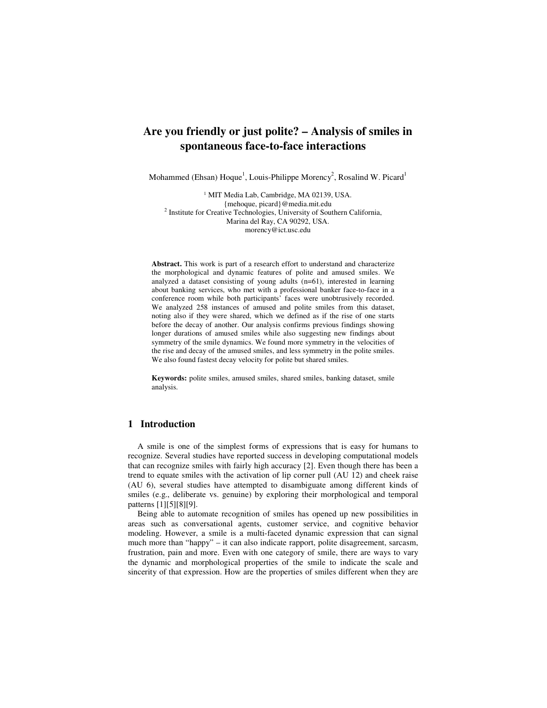# **Are you friendly or just polite? – Analysis of smiles in spontaneous face-to-face interactions**

Mohammed (Ehsan) Hoque<sup>1</sup>, Louis-Philippe Morency<sup>2</sup>, Rosalind W. Picard<sup>1</sup>

1 MIT Media Lab, Cambridge, MA 02139, USA. {mehoque, picard}@media.mit.edu <sup>2</sup> Institute for Creative Technologies, University of Southern California, Marina del Ray, CA 90292, USA. morency@ict.usc.edu

**Abstract.** This work is part of a research effort to understand and characterize the morphological and dynamic features of polite and amused smiles. We analyzed a dataset consisting of young adults (n=61), interested in learning about banking services, who met with a professional banker face-to-face in a conference room while both participants' faces were unobtrusively recorded. We analyzed 258 instances of amused and polite smiles from this dataset, noting also if they were shared, which we defined as if the rise of one starts before the decay of another. Our analysis confirms previous findings showing longer durations of amused smiles while also suggesting new findings about symmetry of the smile dynamics. We found more symmetry in the velocities of the rise and decay of the amused smiles, and less symmetry in the polite smiles. We also found fastest decay velocity for polite but shared smiles.

**Keywords:** polite smiles, amused smiles, shared smiles, banking dataset, smile analysis.

### **1 Introduction**

A smile is one of the simplest forms of expressions that is easy for humans to recognize. Several studies have reported success in developing computational models that can recognize smiles with fairly high accuracy [2]. Even though there has been a trend to equate smiles with the activation of lip corner pull (AU 12) and cheek raise (AU 6), several studies have attempted to disambiguate among different kinds of smiles (e.g., deliberate vs. genuine) by exploring their morphological and temporal patterns [1][5][8][9].

Being able to automate recognition of smiles has opened up new possibilities in areas such as conversational agents, customer service, and cognitive behavior modeling. However, a smile is a multi-faceted dynamic expression that can signal much more than "happy" – it can also indicate rapport, polite disagreement, sarcasm, frustration, pain and more. Even with one category of smile, there are ways to vary the dynamic and morphological properties of the smile to indicate the scale and sincerity of that expression. How are the properties of smiles different when they are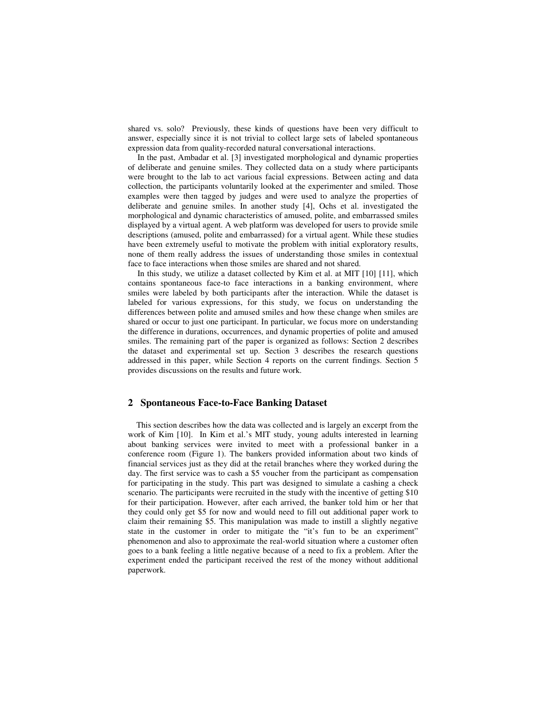shared vs. solo? Previously, these kinds of questions have been very difficult to answer, especially since it is not trivial to collect large sets of labeled spontaneous expression data from quality-recorded natural conversational interactions.

In the past, Ambadar et al. [3] investigated morphological and dynamic properties of deliberate and genuine smiles. They collected data on a study where participants were brought to the lab to act various facial expressions. Between acting and data collection, the participants voluntarily looked at the experimenter and smiled. Those examples were then tagged by judges and were used to analyze the properties of deliberate and genuine smiles. In another study [4], Ochs et al. investigated the morphological and dynamic characteristics of amused, polite, and embarrassed smiles displayed by a virtual agent. A web platform was developed for users to provide smile descriptions (amused, polite and embarrassed) for a virtual agent. While these studies have been extremely useful to motivate the problem with initial exploratory results, none of them really address the issues of understanding those smiles in contextual face to face interactions when those smiles are shared and not shared.

In this study, we utilize a dataset collected by Kim et al. at MIT [10] [11], which contains spontaneous face-to face interactions in a banking environment, where smiles were labeled by both participants after the interaction. While the dataset is labeled for various expressions, for this study, we focus on understanding the differences between polite and amused smiles and how these change when smiles are shared or occur to just one participant. In particular, we focus more on understanding the difference in durations, occurrences, and dynamic properties of polite and amused smiles. The remaining part of the paper is organized as follows: Section 2 describes the dataset and experimental set up. Section 3 describes the research questions addressed in this paper, while Section 4 reports on the current findings. Section 5 provides discussions on the results and future work.

## **2 Spontaneous Face-to-Face Banking Dataset**

 This section describes how the data was collected and is largely an excerpt from the work of Kim [10]. In Kim et al.'s MIT study, young adults interested in learning about banking services were invited to meet with a professional banker in a conference room (Figure 1). The bankers provided information about two kinds of financial services just as they did at the retail branches where they worked during the day. The first service was to cash a \$5 voucher from the participant as compensation for participating in the study. This part was designed to simulate a cashing a check scenario. The participants were recruited in the study with the incentive of getting \$10 for their participation. However, after each arrived, the banker told him or her that they could only get \$5 for now and would need to fill out additional paper work to claim their remaining \$5. This manipulation was made to instill a slightly negative state in the customer in order to mitigate the "it's fun to be an experiment" phenomenon and also to approximate the real-world situation where a customer often goes to a bank feeling a little negative because of a need to fix a problem. After the experiment ended the participant received the rest of the money without additional paperwork.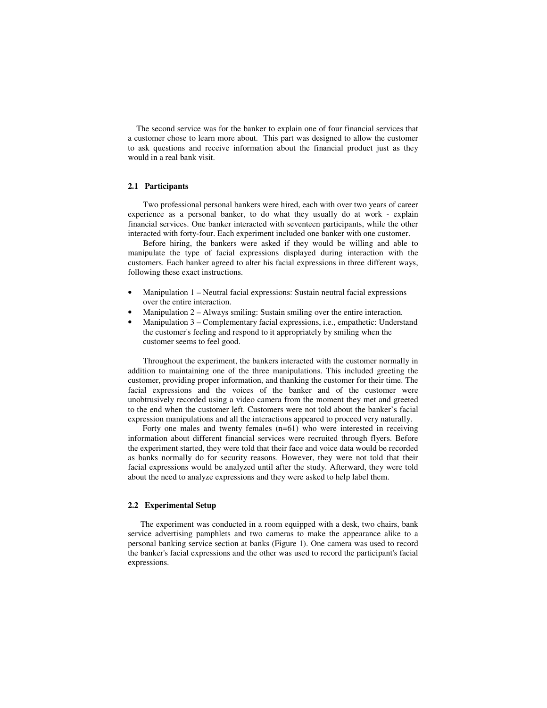The second service was for the banker to explain one of four financial services that a customer chose to learn more about. This part was designed to allow the customer to ask questions and receive information about the financial product just as they would in a real bank visit.

#### **2.1 Participants**

Two professional personal bankers were hired, each with over two years of career experience as a personal banker, to do what they usually do at work - explain financial services. One banker interacted with seventeen participants, while the other interacted with forty-four. Each experiment included one banker with one customer.

Before hiring, the bankers were asked if they would be willing and able to manipulate the type of facial expressions displayed during interaction with the customers. Each banker agreed to alter his facial expressions in three different ways, following these exact instructions.

- Manipulation 1 Neutral facial expressions: Sustain neutral facial expressions over the entire interaction.
- Manipulation 2 Always smiling: Sustain smiling over the entire interaction.
- Manipulation 3 Complementary facial expressions, i.e., empathetic: Understand the customer's feeling and respond to it appropriately by smiling when the customer seems to feel good.

Throughout the experiment, the bankers interacted with the customer normally in addition to maintaining one of the three manipulations. This included greeting the customer, providing proper information, and thanking the customer for their time. The facial expressions and the voices of the banker and of the customer were unobtrusively recorded using a video camera from the moment they met and greeted to the end when the customer left. Customers were not told about the banker's facial expression manipulations and all the interactions appeared to proceed very naturally.

Forty one males and twenty females (n=61) who were interested in receiving information about different financial services were recruited through flyers. Before the experiment started, they were told that their face and voice data would be recorded as banks normally do for security reasons. However, they were not told that their facial expressions would be analyzed until after the study. Afterward, they were told about the need to analyze expressions and they were asked to help label them.

#### **2.2 Experimental Setup**

 The experiment was conducted in a room equipped with a desk, two chairs, bank service advertising pamphlets and two cameras to make the appearance alike to a personal banking service section at banks (Figure 1). One camera was used to record the banker's facial expressions and the other was used to record the participant's facial expressions.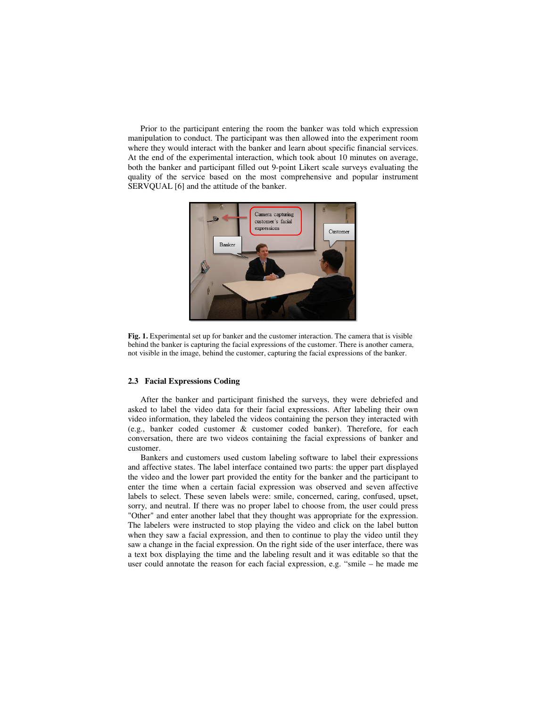Prior to the participant entering the room the banker was told which expression manipulation to conduct. The participant was then allowed into the experiment room where they would interact with the banker and learn about specific financial services. At the end of the experimental interaction, which took about 10 minutes on average, both the banker and participant filled out 9-point Likert scale surveys evaluating the quality of the service based on the most comprehensive and popular instrument SERVQUAL [6] and the attitude of the banker.



**Fig. 1.** Experimental set up for banker and the customer interaction. The camera that is visible behind the banker is capturing the facial expressions of the customer. There is another camera, not visible in the image, behind the customer, capturing the facial expressions of the banker.

#### **2.3 Facial Expressions Coding**

 After the banker and participant finished the surveys, they were debriefed and asked to label the video data for their facial expressions. After labeling their own video information, they labeled the videos containing the person they interacted with (e.g., banker coded customer & customer coded banker). Therefore, for each conversation, there are two videos containing the facial expressions of banker and customer.

 Bankers and customers used custom labeling software to label their expressions and affective states. The label interface contained two parts: the upper part displayed the video and the lower part provided the entity for the banker and the participant to enter the time when a certain facial expression was observed and seven affective labels to select. These seven labels were: smile, concerned, caring, confused, upset, sorry, and neutral. If there was no proper label to choose from, the user could press "Other" and enter another label that they thought was appropriate for the expression. The labelers were instructed to stop playing the video and click on the label button when they saw a facial expression, and then to continue to play the video until they saw a change in the facial expression. On the right side of the user interface, there was a text box displaying the time and the labeling result and it was editable so that the user could annotate the reason for each facial expression, e.g. "smile – he made me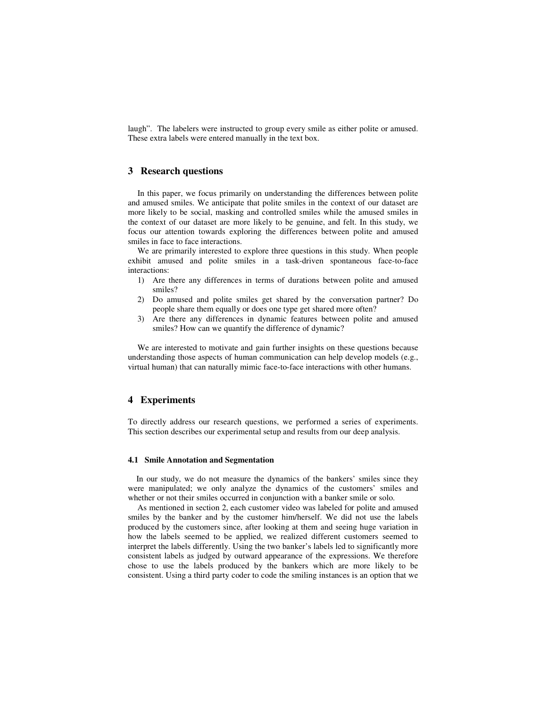laugh". The labelers were instructed to group every smile as either polite or amused. These extra labels were entered manually in the text box.

## **3 Research questions**

In this paper, we focus primarily on understanding the differences between polite and amused smiles. We anticipate that polite smiles in the context of our dataset are more likely to be social, masking and controlled smiles while the amused smiles in the context of our dataset are more likely to be genuine, and felt. In this study, we focus our attention towards exploring the differences between polite and amused smiles in face to face interactions.

We are primarily interested to explore three questions in this study. When people exhibit amused and polite smiles in a task-driven spontaneous face-to-face interactions:

- 1) Are there any differences in terms of durations between polite and amused smiles?
- 2) Do amused and polite smiles get shared by the conversation partner? Do people share them equally or does one type get shared more often?
- 3) Are there any differences in dynamic features between polite and amused smiles? How can we quantify the difference of dynamic?

We are interested to motivate and gain further insights on these questions because understanding those aspects of human communication can help develop models (e.g., virtual human) that can naturally mimic face-to-face interactions with other humans.

### **4 Experiments**

To directly address our research questions, we performed a series of experiments. This section describes our experimental setup and results from our deep analysis.

#### **4.1 Smile Annotation and Segmentation**

 In our study, we do not measure the dynamics of the bankers' smiles since they were manipulated; we only analyze the dynamics of the customers' smiles and whether or not their smiles occurred in conjunction with a banker smile or solo.

As mentioned in section 2, each customer video was labeled for polite and amused smiles by the banker and by the customer him/herself. We did not use the labels produced by the customers since, after looking at them and seeing huge variation in how the labels seemed to be applied, we realized different customers seemed to interpret the labels differently. Using the two banker's labels led to significantly more consistent labels as judged by outward appearance of the expressions. We therefore chose to use the labels produced by the bankers which are more likely to be consistent. Using a third party coder to code the smiling instances is an option that we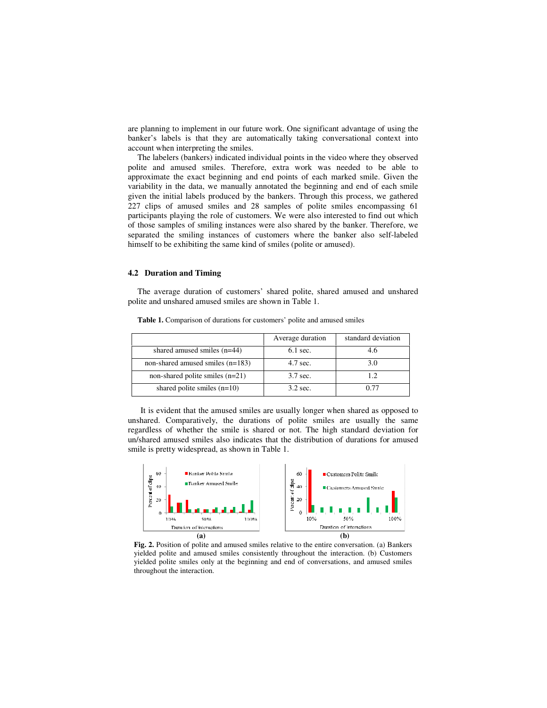are planning to implement in our future work. One significant advantage of using the banker's labels is that they are automatically taking conversational context into account when interpreting the smiles.

The labelers (bankers) indicated individual points in the video where they observed polite and amused smiles. Therefore, extra work was needed to be able to approximate the exact beginning and end points of each marked smile. Given the variability in the data, we manually annotated the beginning and end of each smile given the initial labels produced by the bankers. Through this process, we gathered 227 clips of amused smiles and 28 samples of polite smiles encompassing 61 participants playing the role of customers. We were also interested to find out which of those samples of smiling instances were also shared by the banker. Therefore, we separated the smiling instances of customers where the banker also self-labeled himself to be exhibiting the same kind of smiles (polite or amused).

#### **4.2 Duration and Timing**

The average duration of customers' shared polite, shared amused and unshared polite and unshared amused smiles are shown in Table 1.

|                                    | Average duration   | standard deviation |
|------------------------------------|--------------------|--------------------|
| shared amused smiles (n=44)        | $6.1$ sec.         |                    |
| non-shared amused smiles $(n=183)$ | $4.7 \text{ sec.}$ | 3.0                |
| non-shared polite smiles $(n=21)$  | 3.7 sec.           |                    |
| shared polite smiles $(n=10)$      | $3.2$ sec.         | በ 77               |

Table 1. Comparison of durations for customers' polite and amused smiles

 It is evident that the amused smiles are usually longer when shared as opposed to unshared. Comparatively, the durations of polite smiles are usually the same regardless of whether the smile is shared or not. The high standard deviation for un/shared amused smiles also indicates that the distribution of durations for amused smile is pretty widespread, as shown in Table 1.



**Fig. 2.** Position of polite and amused smiles relative to the entire conversation. (a) Bankers yielded polite and amused smiles consistently throughout the interaction. (b) Customers yielded polite smiles only at the beginning and end of conversations, and amused smiles throughout the interaction.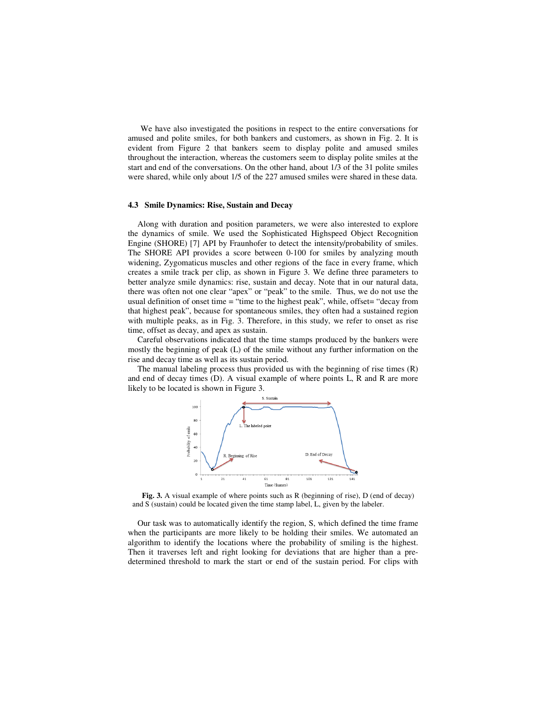We have also investigated the positions in respect to the entire conversations for amused and polite smiles, for both bankers and customers, as shown in Fig. 2. It is evident from Figure 2 that bankers seem to display polite and amused smiles throughout the interaction, whereas the customers seem to display polite smiles at the start and end of the conversations. On the other hand, about 1/3 of the 31 polite smiles were shared, while only about 1/5 of the 227 amused smiles were shared in these data.

#### **4.3 Smile Dynamics: Rise, Sustain and Decay**

Along with duration and position parameters, we were also interested to explore the dynamics of smile. We used the Sophisticated Highspeed Object Recognition Engine (SHORE) [7] API by Fraunhofer to detect the intensity/probability of smiles. The SHORE API provides a score between 0-100 for smiles by analyzing mouth widening, Zygomaticus muscles and other regions of the face in every frame, which creates a smile track per clip, as shown in Figure 3. We define three parameters to better analyze smile dynamics: rise, sustain and decay. Note that in our natural data, there was often not one clear "apex" or "peak" to the smile. Thus, we do not use the usual definition of onset time = "time to the highest peak", while, offset= "decay from that highest peak", because for spontaneous smiles, they often had a sustained region with multiple peaks, as in Fig. 3. Therefore, in this study, we refer to onset as rise time, offset as decay, and apex as sustain.

Careful observations indicated that the time stamps produced by the bankers were mostly the beginning of peak (L) of the smile without any further information on the rise and decay time as well as its sustain period.

The manual labeling process thus provided us with the beginning of rise times (R) and end of decay times (D). A visual example of where points L, R and R are more likely to be located is shown in Figure 3.



**Fig. 3.** A visual example of where points such as R (beginning of rise), D (end of decay) and S (sustain) could be located given the time stamp label, L, given by the labeler.

Our task was to automatically identify the region, S, which defined the time frame when the participants are more likely to be holding their smiles. We automated an algorithm to identify the locations where the probability of smiling is the highest. Then it traverses left and right looking for deviations that are higher than a predetermined threshold to mark the start or end of the sustain period. For clips with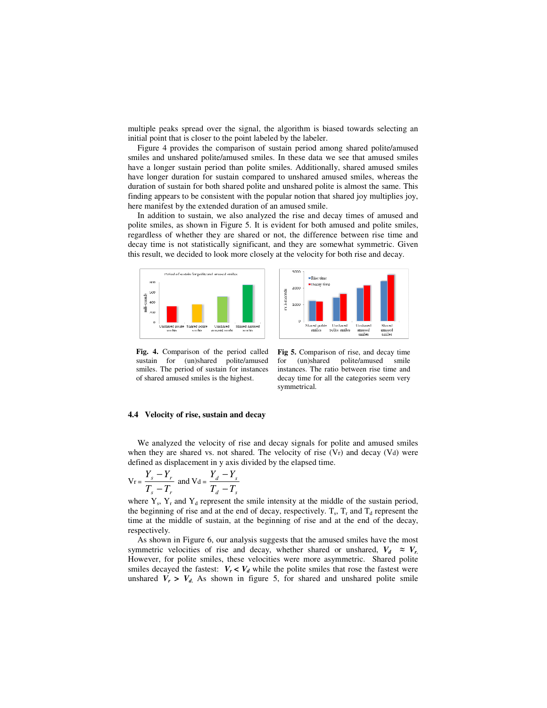multiple peaks spread over the signal, the algorithm is biased towards selecting an initial point that is closer to the point labeled by the labeler.

Figure 4 provides the comparison of sustain period among shared polite/amused smiles and unshared polite/amused smiles. In these data we see that amused smiles have a longer sustain period than polite smiles. Additionally, shared amused smiles have longer duration for sustain compared to unshared amused smiles, whereas the duration of sustain for both shared polite and unshared polite is almost the same. This finding appears to be consistent with the popular notion that shared joy multiplies joy, here manifest by the extended duration of an amused smile.

In addition to sustain, we also analyzed the rise and decay times of amused and polite smiles, as shown in Figure 5. It is evident for both amused and polite smiles, regardless of whether they are shared or not, the difference between rise time and decay time is not statistically significant, and they are somewhat symmetric. Given this result, we decided to look more closely at the velocity for both rise and decay.



**Fig. 4.** Comparison of the period called sustain for (un)shared polite/amused smiles. The period of sustain for instances of shared amused smiles is the highest.



**Fig 5.** Comparison of rise, and decay time for (un)shared polite/amused smile instances. The ratio between rise time and decay time for all the categories seem very symmetrical.

#### **4.4 Velocity of rise, sustain and decay**

We analyzed the velocity of rise and decay signals for polite and amused smiles when they are shared vs. not shared. The velocity of rise  $(V<sub>r</sub>)$  and decay  $(V<sub>d</sub>)$  were defined as displacement in y axis divided by the elapsed time.

$$
V_r = \frac{Y_s - Y_r}{T_s - T_r}
$$
 and 
$$
V_d = \frac{Y_d - Y_s}{T_d - T_s}
$$

where  $Y_s$ ,  $Y_r$  and  $Y_d$  represent the smile intensity at the middle of the sustain period, the beginning of rise and at the end of decay, respectively.  $T_s$ ,  $T_r$  and  $T_d$  represent the time at the middle of sustain, at the beginning of rise and at the end of the decay, respectively*.*

As shown in Figure 6, our analysis suggests that the amused smiles have the most symmetric velocities of rise and decay, whether shared or unshared,  $V_d \approx V_r$ . However, for polite smiles, these velocities were more asymmetric. Shared polite smiles decayed the fastest:  $V_r < V_d$  while the polite smiles that rose the fastest were unshared  $V_r$  >  $V_d$ . As shown in figure 5, for shared and unshared polite smile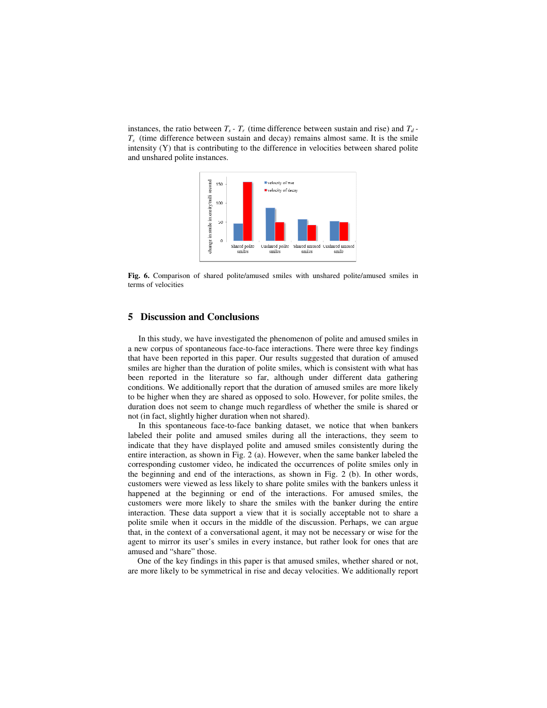instances, the ratio between  $T_s$  –  $T_r$  (time difference between sustain and rise) and  $T_d$  - $T<sub>s</sub>$  (time difference between sustain and decay) remains almost same. It is the smile intensity (Y) that is contributing to the difference in velocities between shared polite and unshared polite instances.



**Fig. 6.** Comparison of shared polite/amused smiles with unshared polite/amused smiles in terms of velocities

### **5 Discussion and Conclusions**

 In this study, we have investigated the phenomenon of polite and amused smiles in a new corpus of spontaneous face-to-face interactions. There were three key findings that have been reported in this paper. Our results suggested that duration of amused smiles are higher than the duration of polite smiles, which is consistent with what has been reported in the literature so far, although under different data gathering conditions. We additionally report that the duration of amused smiles are more likely to be higher when they are shared as opposed to solo. However, for polite smiles, the duration does not seem to change much regardless of whether the smile is shared or not (in fact, slightly higher duration when not shared).

 In this spontaneous face-to-face banking dataset, we notice that when bankers labeled their polite and amused smiles during all the interactions, they seem to indicate that they have displayed polite and amused smiles consistently during the entire interaction, as shown in Fig. 2 (a). However, when the same banker labeled the corresponding customer video, he indicated the occurrences of polite smiles only in the beginning and end of the interactions, as shown in Fig. 2 (b). In other words, customers were viewed as less likely to share polite smiles with the bankers unless it happened at the beginning or end of the interactions. For amused smiles, the customers were more likely to share the smiles with the banker during the entire interaction. These data support a view that it is socially acceptable not to share a polite smile when it occurs in the middle of the discussion. Perhaps, we can argue that, in the context of a conversational agent, it may not be necessary or wise for the agent to mirror its user's smiles in every instance, but rather look for ones that are amused and "share" those.

One of the key findings in this paper is that amused smiles, whether shared or not, are more likely to be symmetrical in rise and decay velocities. We additionally report